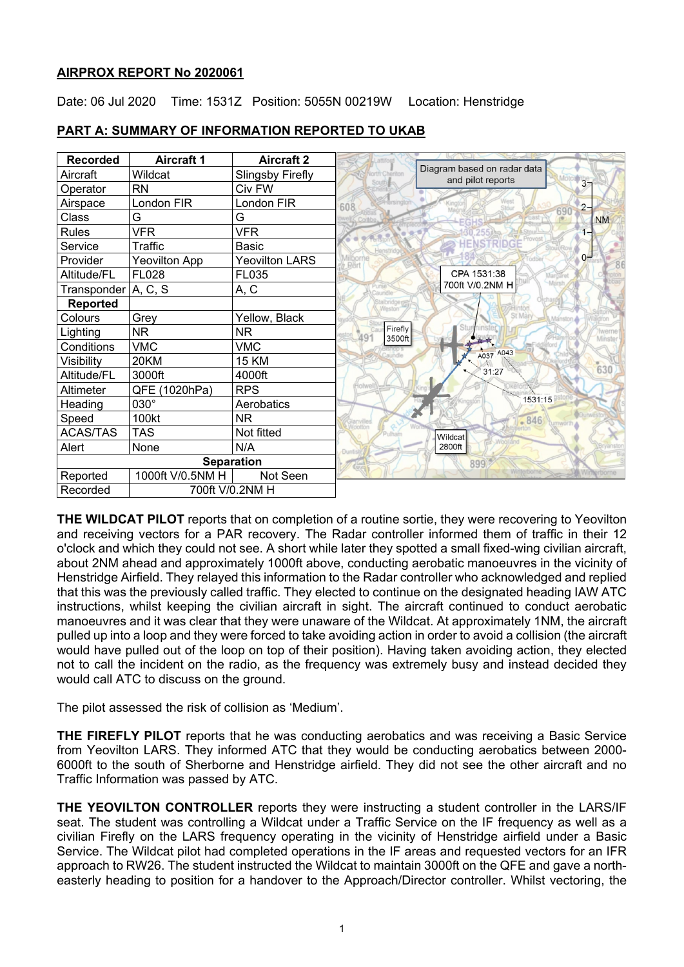## **AIRPROX REPORT No 2020061**

Date: 06 Jul 2020 Time: 1531Z Position: 5055N 00219W Location: Henstridge

| <b>Recorded</b>             | <b>Aircraft 1</b>    | <b>Aircraft 2</b>     |                          |                                                  |
|-----------------------------|----------------------|-----------------------|--------------------------|--------------------------------------------------|
| Aircraft                    | Wildcat              | Slingsby Firefly      | orth Cheriton            | Diagram based on radar data<br>and pilot reports |
| Operator                    | <b>RN</b>            | Civ FW                |                          | 3 <sub>7</sub>                                   |
| Airspace                    | London FIR           | London FIR            | 608                      | $2 -$                                            |
| Class                       | G                    | G                     |                          | 690<br><b>NM</b>                                 |
| Rules                       | <b>VFR</b>           | <b>VFR</b>            |                          |                                                  |
| Service                     | Traffic              | Basic                 |                          |                                                  |
| Provider                    | <b>Yeovilton App</b> | <b>Yeovilton LARS</b> |                          | $O-$                                             |
| Altitude/FL                 | <b>FL028</b>         | FL035                 |                          | CPA 1531:38                                      |
| Transponder                 | A, C, S              | A, C                  | indle                    | 700ft V/0.2NM H                                  |
| <b>Reported</b>             |                      |                       | Weston                   |                                                  |
| Colours                     | Grey                 | Yellow, Black         |                          | St Mary<br>Manston                               |
| Lighting                    | <b>NR</b>            | NR.                   | Firefly<br>491<br>3500ft | <b>werne</b><br>Minster                          |
| Conditions                  | <b>VMC</b>           | <b>VMC</b>            |                          | A037 A043                                        |
| Visibility                  | 20KM                 | 15 KM                 |                          |                                                  |
| Altitude/FL                 | 3000ft               | 4000ft                |                          | 630<br>31:27                                     |
| Altimeter                   | QFE (1020hPa)        | <b>RPS</b>            | tolwel                   |                                                  |
| Heading                     | $030^\circ$          | Aerobatics            |                          | 1531:15                                          |
| Speed                       | 100kt                | <b>NR</b>             |                          | $-846$<br>tumworth                               |
| <b>ACAS/TAS</b>             | <b>TAS</b>           | Not fitted            |                          | Wildcat                                          |
| Alert                       | None                 | N/A                   |                          | 2800ft                                           |
| <b>Separation</b>           |                      |                       |                          | 899                                              |
| Reported                    | 1000ft V/0.5NM H     | Not Seen              |                          |                                                  |
| Recorded<br>700ft V/0.2NM H |                      |                       |                          |                                                  |

## **PART A: SUMMARY OF INFORMATION REPORTED TO UKAB**

**THE WILDCAT PILOT** reports that on completion of a routine sortie, they were recovering to Yeovilton and receiving vectors for a PAR recovery. The Radar controller informed them of traffic in their 12 o'clock and which they could not see. A short while later they spotted a small fixed-wing civilian aircraft, about 2NM ahead and approximately 1000ft above, conducting aerobatic manoeuvres in the vicinity of Henstridge Airfield. They relayed this information to the Radar controller who acknowledged and replied that this was the previously called traffic. They elected to continue on the designated heading IAW ATC instructions, whilst keeping the civilian aircraft in sight. The aircraft continued to conduct aerobatic manoeuvres and it was clear that they were unaware of the Wildcat. At approximately 1NM, the aircraft pulled up into a loop and they were forced to take avoiding action in order to avoid a collision (the aircraft would have pulled out of the loop on top of their position). Having taken avoiding action, they elected not to call the incident on the radio, as the frequency was extremely busy and instead decided they would call ATC to discuss on the ground.

The pilot assessed the risk of collision as 'Medium'.

**THE FIREFLY PILOT** reports that he was conducting aerobatics and was receiving a Basic Service from Yeovilton LARS. They informed ATC that they would be conducting aerobatics between 2000- 6000ft to the south of Sherborne and Henstridge airfield. They did not see the other aircraft and no Traffic Information was passed by ATC.

**THE YEOVILTON CONTROLLER** reports they were instructing a student controller in the LARS/IF seat. The student was controlling a Wildcat under a Traffic Service on the IF frequency as well as a civilian Firefly on the LARS frequency operating in the vicinity of Henstridge airfield under a Basic Service. The Wildcat pilot had completed operations in the IF areas and requested vectors for an IFR approach to RW26. The student instructed the Wildcat to maintain 3000ft on the QFE and gave a northeasterly heading to position for a handover to the Approach/Director controller. Whilst vectoring, the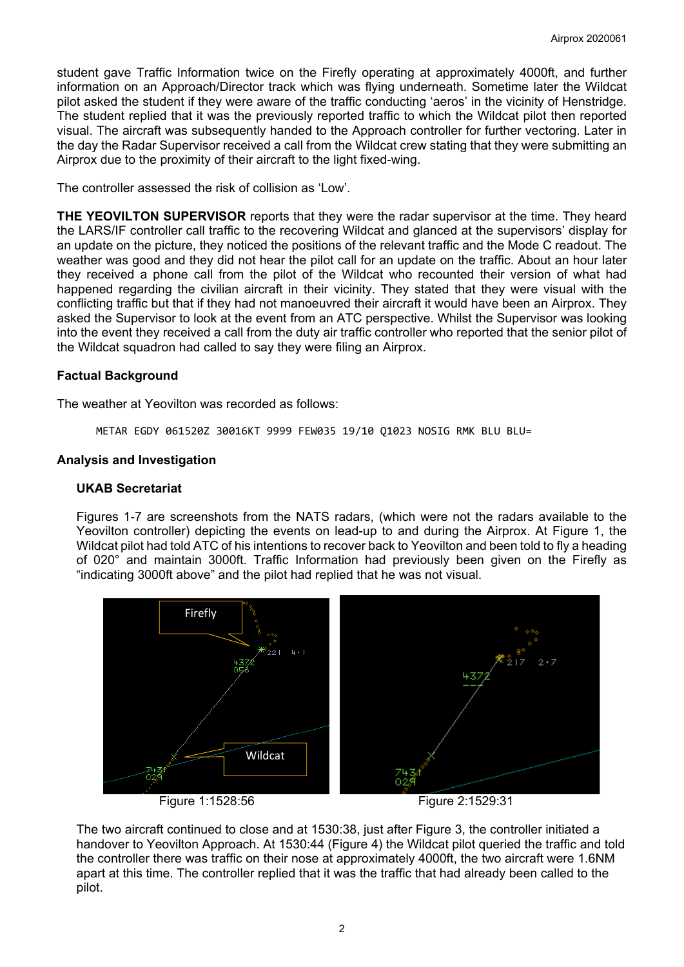student gave Traffic Information twice on the Firefly operating at approximately 4000ft, and further information on an Approach/Director track which was flying underneath. Sometime later the Wildcat pilot asked the student if they were aware of the traffic conducting 'aeros' in the vicinity of Henstridge. The student replied that it was the previously reported traffic to which the Wildcat pilot then reported visual. The aircraft was subsequently handed to the Approach controller for further vectoring. Later in the day the Radar Supervisor received a call from the Wildcat crew stating that they were submitting an Airprox due to the proximity of their aircraft to the light fixed-wing.

The controller assessed the risk of collision as 'Low'.

**THE YEOVILTON SUPERVISOR** reports that they were the radar supervisor at the time. They heard the LARS/IF controller call traffic to the recovering Wildcat and glanced at the supervisors' display for an update on the picture, they noticed the positions of the relevant traffic and the Mode C readout. The weather was good and they did not hear the pilot call for an update on the traffic. About an hour later they received a phone call from the pilot of the Wildcat who recounted their version of what had happened regarding the civilian aircraft in their vicinity. They stated that they were visual with the conflicting traffic but that if they had not manoeuvred their aircraft it would have been an Airprox. They asked the Supervisor to look at the event from an ATC perspective. Whilst the Supervisor was looking into the event they received a call from the duty air traffic controller who reported that the senior pilot of the Wildcat squadron had called to say they were filing an Airprox.

## **Factual Background**

The weather at Yeovilton was recorded as follows:

METAR EGDY 061520Z 30016KT 9999 FEW035 19/10 Q1023 NOSIG RMK BLU BLU=

## **Analysis and Investigation**

## **UKAB Secretariat**

Figures 1-7 are screenshots from the NATS radars, (which were not the radars available to the Yeovilton controller) depicting the events on lead-up to and during the Airprox. At Figure 1, the Wildcat pilot had told ATC of his intentions to recover back to Yeovilton and been told to fly a heading of 020° and maintain 3000ft. Traffic Information had previously been given on the Firefly as "indicating 3000ft above" and the pilot had replied that he was not visual.



The two aircraft continued to close and at 1530:38, just after Figure 3, the controller initiated a handover to Yeovilton Approach. At 1530:44 (Figure 4) the Wildcat pilot queried the traffic and told the controller there was traffic on their nose at approximately 4000ft, the two aircraft were 1.6NM apart at this time. The controller replied that it was the traffic that had already been called to the pilot.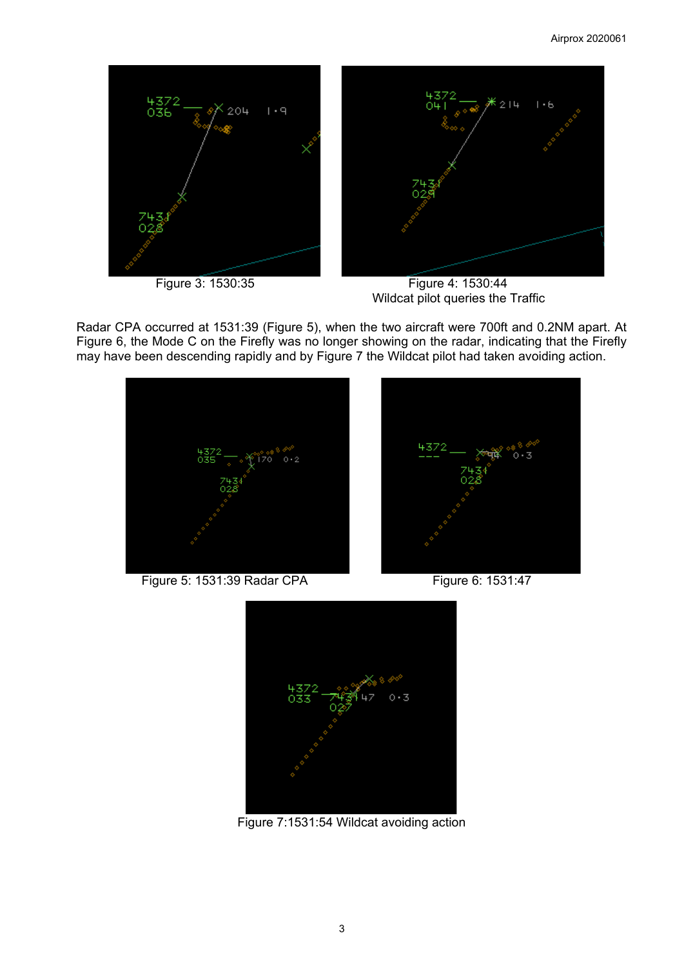

 Figure 3: 1530:35 Figure 4: 1530:44 Wildcat pilot queries the Traffic

Radar CPA occurred at 1531:39 (Figure 5), when the two aircraft were 700ft and 0.2NM apart. At Figure 6, the Mode C on the Firefly was no longer showing on the radar, indicating that the Firefly may have been descending rapidly and by Figure 7 the Wildcat pilot had taken avoiding action.



Figure 5: 1531:39 Radar CPA Figure 6: 1531:47





Figure 7:1531:54 Wildcat avoiding action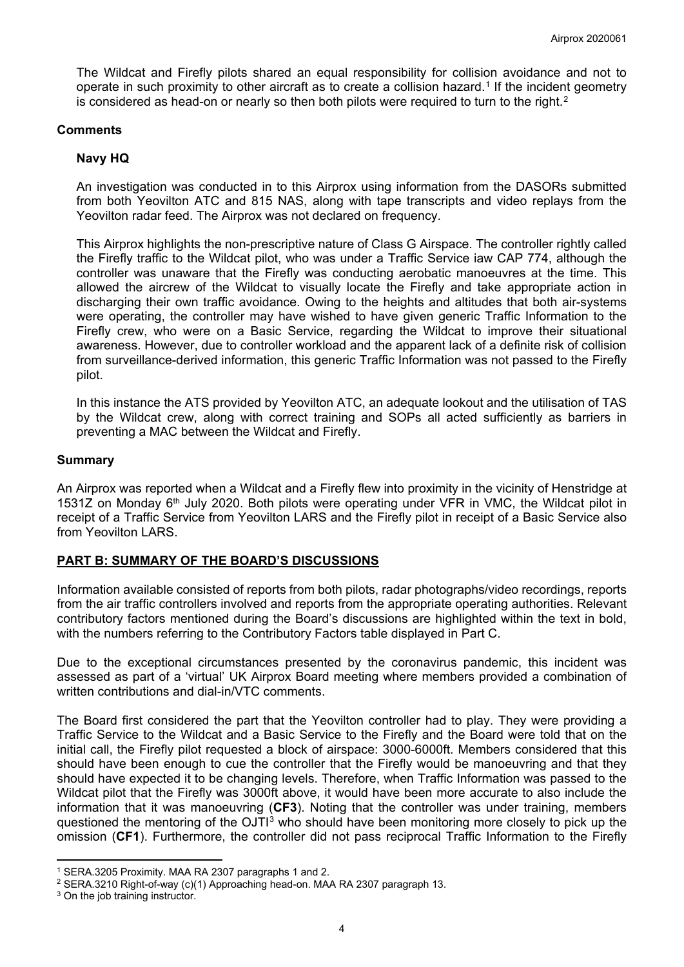The Wildcat and Firefly pilots shared an equal responsibility for collision avoidance and not to operate in such proximity to other aircraft as to create a collision hazard.[1](#page-3-0) If the incident geometry is considered as head-on or nearly so then both pilots were required to turn to the right.<sup>[2](#page-3-1)</sup>

#### **Comments**

### **Navy HQ**

An investigation was conducted in to this Airprox using information from the DASORs submitted from both Yeovilton ATC and 815 NAS, along with tape transcripts and video replays from the Yeovilton radar feed. The Airprox was not declared on frequency.

This Airprox highlights the non-prescriptive nature of Class G Airspace. The controller rightly called the Firefly traffic to the Wildcat pilot, who was under a Traffic Service iaw CAP 774, although the controller was unaware that the Firefly was conducting aerobatic manoeuvres at the time. This allowed the aircrew of the Wildcat to visually locate the Firefly and take appropriate action in discharging their own traffic avoidance. Owing to the heights and altitudes that both air-systems were operating, the controller may have wished to have given generic Traffic Information to the Firefly crew, who were on a Basic Service, regarding the Wildcat to improve their situational awareness. However, due to controller workload and the apparent lack of a definite risk of collision from surveillance-derived information, this generic Traffic Information was not passed to the Firefly pilot.

In this instance the ATS provided by Yeovilton ATC, an adequate lookout and the utilisation of TAS by the Wildcat crew, along with correct training and SOPs all acted sufficiently as barriers in preventing a MAC between the Wildcat and Firefly.

#### **Summary**

An Airprox was reported when a Wildcat and a Firefly flew into proximity in the vicinity of Henstridge at 1531Z on Monday 6<sup>th</sup> July 2020. Both pilots were operating under VFR in VMC, the Wildcat pilot in receipt of a Traffic Service from Yeovilton LARS and the Firefly pilot in receipt of a Basic Service also from Yeovilton LARS.

#### **PART B: SUMMARY OF THE BOARD'S DISCUSSIONS**

Information available consisted of reports from both pilots, radar photographs/video recordings, reports from the air traffic controllers involved and reports from the appropriate operating authorities. Relevant contributory factors mentioned during the Board's discussions are highlighted within the text in bold, with the numbers referring to the Contributory Factors table displayed in Part C.

Due to the exceptional circumstances presented by the coronavirus pandemic, this incident was assessed as part of a 'virtual' UK Airprox Board meeting where members provided a combination of written contributions and dial-in/VTC comments.

The Board first considered the part that the Yeovilton controller had to play. They were providing a Traffic Service to the Wildcat and a Basic Service to the Firefly and the Board were told that on the initial call, the Firefly pilot requested a block of airspace: 3000-6000ft. Members considered that this should have been enough to cue the controller that the Firefly would be manoeuvring and that they should have expected it to be changing levels. Therefore, when Traffic Information was passed to the Wildcat pilot that the Firefly was 3000ft above, it would have been more accurate to also include the information that it was manoeuvring (**CF3**). Noting that the controller was under training, members questioned the mentoring of the  $OJT<sup>3</sup>$  $OJT<sup>3</sup>$  $OJT<sup>3</sup>$  who should have been monitoring more closely to pick up the omission (**CF1**). Furthermore, the controller did not pass reciprocal Traffic Information to the Firefly

<span id="page-3-0"></span><sup>1</sup> SERA.3205 Proximity. MAA RA 2307 paragraphs 1 and 2.

<span id="page-3-1"></span><sup>2</sup> SERA.3210 Right-of-way (c)(1) Approaching head-on. MAA RA 2307 paragraph 13.

<span id="page-3-2"></span><sup>&</sup>lt;sup>3</sup> On the job training instructor.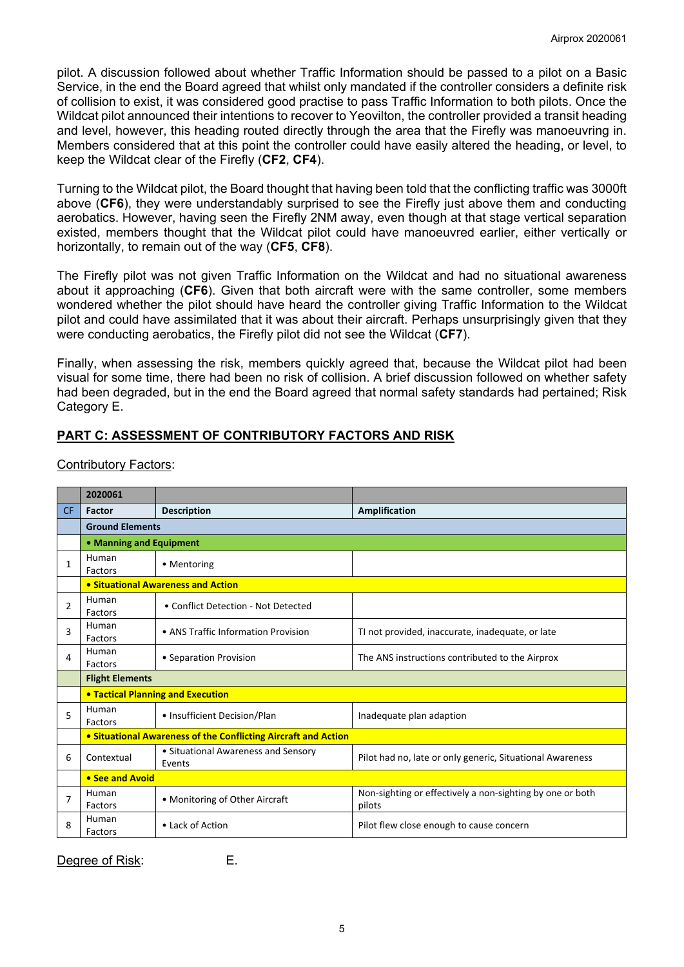pilot. A discussion followed about whether Traffic Information should be passed to a pilot on a Basic Service, in the end the Board agreed that whilst only mandated if the controller considers a definite risk of collision to exist, it was considered good practise to pass Traffic Information to both pilots. Once the Wildcat pilot announced their intentions to recover to Yeovilton, the controller provided a transit heading and level, however, this heading routed directly through the area that the Firefly was manoeuvring in. Members considered that at this point the controller could have easily altered the heading, or level, to keep the Wildcat clear of the Firefly (**CF2**, **CF4**).

Turning to the Wildcat pilot, the Board thought that having been told that the conflicting traffic was 3000ft above (**CF6**), they were understandably surprised to see the Firefly just above them and conducting aerobatics. However, having seen the Firefly 2NM away, even though at that stage vertical separation existed, members thought that the Wildcat pilot could have manoeuvred earlier, either vertically or horizontally, to remain out of the way (**CF5**, **CF8**).

The Firefly pilot was not given Traffic Information on the Wildcat and had no situational awareness about it approaching (**CF6**). Given that both aircraft were with the same controller, some members wondered whether the pilot should have heard the controller giving Traffic Information to the Wildcat pilot and could have assimilated that it was about their aircraft. Perhaps unsurprisingly given that they were conducting aerobatics, the Firefly pilot did not see the Wildcat (**CF7**).

Finally, when assessing the risk, members quickly agreed that, because the Wildcat pilot had been visual for some time, there had been no risk of collision. A brief discussion followed on whether safety had been degraded, but in the end the Board agreed that normal safety standards had pertained; Risk Category E.

# **PART C: ASSESSMENT OF CONTRIBUTORY FACTORS AND RISK**

|           | 2020061                                                        |                                               |                                                                     |  |  |
|-----------|----------------------------------------------------------------|-----------------------------------------------|---------------------------------------------------------------------|--|--|
| <b>CF</b> | Factor                                                         | <b>Description</b>                            | Amplification                                                       |  |  |
|           | <b>Ground Elements</b>                                         |                                               |                                                                     |  |  |
|           | • Manning and Equipment                                        |                                               |                                                                     |  |  |
| 1         | Human<br>Factors                                               | • Mentoring                                   |                                                                     |  |  |
|           | <b>• Situational Awareness and Action</b>                      |                                               |                                                                     |  |  |
| 2         | Human<br>Factors                                               | • Conflict Detection - Not Detected           |                                                                     |  |  |
| 3         | Human<br>Factors                                               | • ANS Traffic Information Provision           | TI not provided, inaccurate, inadequate, or late                    |  |  |
| 4         | Human<br>Factors                                               | • Separation Provision                        | The ANS instructions contributed to the Airprox                     |  |  |
|           | <b>Flight Elements</b>                                         |                                               |                                                                     |  |  |
|           | <b>• Tactical Planning and Execution</b>                       |                                               |                                                                     |  |  |
| 5         | Human<br>Factors                                               | • Insufficient Decision/Plan                  | Inadequate plan adaption                                            |  |  |
|           | • Situational Awareness of the Conflicting Aircraft and Action |                                               |                                                                     |  |  |
| 6         | Contextual                                                     | • Situational Awareness and Sensory<br>Events | Pilot had no, late or only generic, Situational Awareness           |  |  |
|           | • See and Avoid                                                |                                               |                                                                     |  |  |
| 7         | Human<br>Factors                                               | • Monitoring of Other Aircraft                | Non-sighting or effectively a non-sighting by one or both<br>pilots |  |  |
| 8         | Human<br>Factors                                               | • Lack of Action                              | Pilot flew close enough to cause concern                            |  |  |

## Contributory Factors:

Degree of Risk: E.